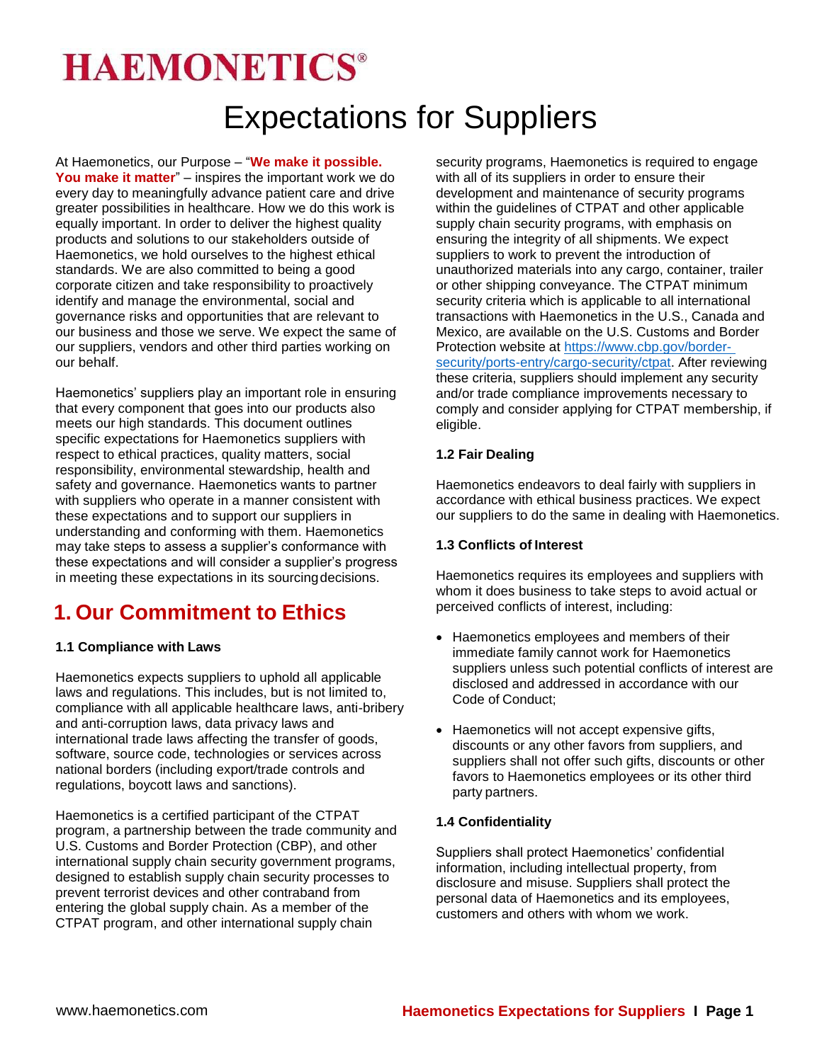# **HAEMONETICS®**

## Expectations for Suppliers

At Haemonetics, our Purpose – "**We make it possible. You make it matter**" – inspires the important work we do every day to meaningfully advance patient care and drive greater possibilities in healthcare. How we do this work is equally important. In order to deliver the highest quality products and solutions to our stakeholders outside of Haemonetics, we hold ourselves to the highest ethical standards. We are also committed to being a good corporate citizen and take responsibility to proactively identify and manage the environmental, social and governance risks and opportunities that are relevant to our business and those we serve. We expect the same of our suppliers, vendors and other third parties working on our behalf.

Haemonetics' suppliers play an important role in ensuring that every component that goes into our products also meets our high standards. This document outlines specific expectations for Haemonetics suppliers with respect to ethical practices, quality matters, social responsibility, environmental stewardship, health and safety and governance. Haemonetics wants to partner with suppliers who operate in a manner consistent with these expectations and to support our suppliers in understanding and conforming with them. Haemonetics may take steps to assess a supplier's conformance with these expectations and will consider a supplier's progress in meeting these expectations in its sourcingdecisions.

## **1. Our Commitment to Ethics**

#### **1.1 Compliance with Laws**

Haemonetics expects suppliers to uphold all applicable laws and regulations. This includes, but is not limited to, compliance with all applicable healthcare laws, anti-bribery and anti-corruption laws, data privacy laws and international trade laws affecting the transfer of goods, software, source code, technologies or services across national borders (including export/trade controls and regulations, boycott laws and sanctions).

Haemonetics is a certified participant of the CTPAT program, a partnership between the trade community and U.S. Customs and Border Protection (CBP), and other international supply chain security government programs, designed to establish supply chain security processes to prevent terrorist devices and other contraband from entering the global supply chain. As a member of the CTPAT program, and other international supply chain

security programs, Haemonetics is required to engage with all of its suppliers in order to ensure their development and maintenance of security programs within the quidelines of CTPAT and other applicable supply chain security programs, with emphasis on ensuring the integrity of all shipments. We expect suppliers to work to prevent the introduction of unauthorized materials into any cargo, container, trailer or other shipping conveyance. The CTPAT minimum security criteria which is applicable to all international transactions with Haemonetics in the U.S., Canada and Mexico, are available on the U.S. Customs and Border Protection website at https[://www.cbp.gov/border](http://www.cbp.gov/border-)security/ports-entry/cargo-security/ctpat. After reviewing these criteria, suppliers should implement any security and/or trade compliance improvements necessary to comply and consider applying for CTPAT membership, if eligible.

#### **1.2 Fair Dealing**

Haemonetics endeavors to deal fairly with suppliers in accordance with ethical business practices. We expect our suppliers to do the same in dealing with Haemonetics.

#### **1.3 Conflicts of Interest**

Haemonetics requires its employees and suppliers with whom it does business to take steps to avoid actual or perceived conflicts of interest, including:

- Haemonetics employees and members of their immediate family cannot work for Haemonetics suppliers unless such potential conflicts of interest are disclosed and addressed in accordance with our Code of Conduct;
- Haemonetics will not accept expensive gifts, discounts or any other favors from suppliers, and suppliers shall not offer such gifts, discounts or other favors to Haemonetics employees or its other third party partners.

#### **1.4 Confidentiality**

Suppliers shall protect Haemonetics' confidential information, including intellectual property, from disclosure and misuse. Suppliers shall protect the personal data of Haemonetics and its employees, customers and others with whom we work.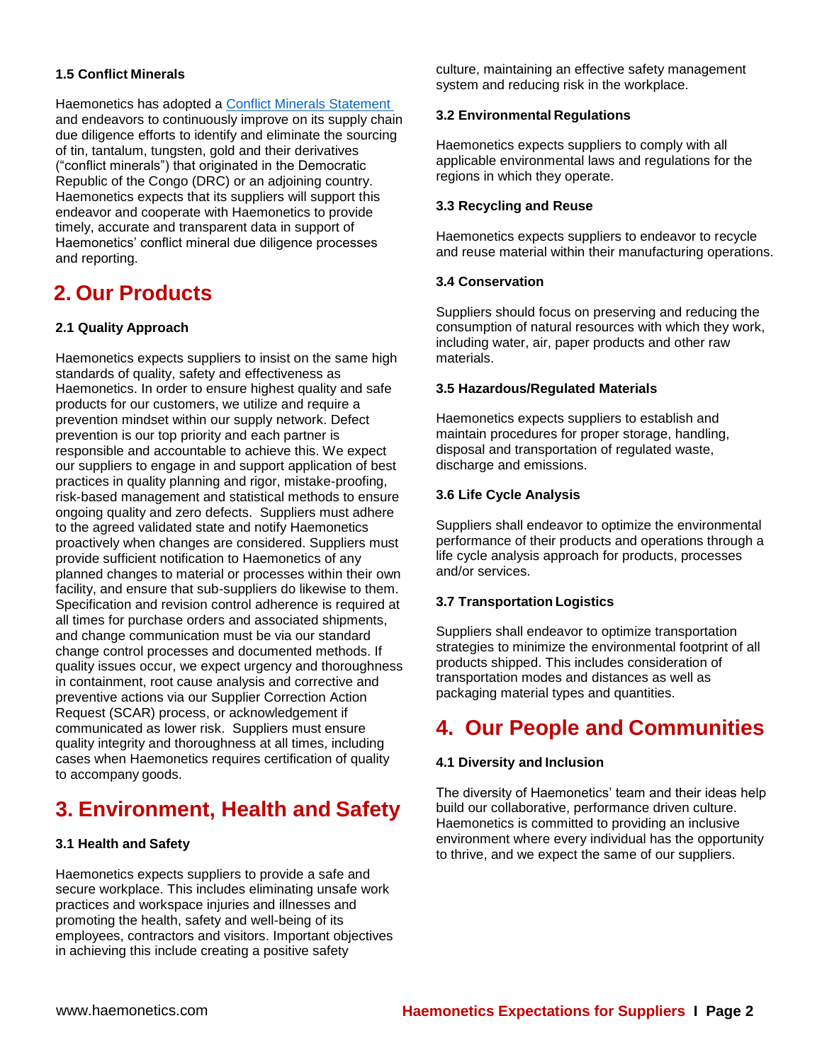#### <span id="page-1-0"></span>**1.5 Conflict Minerals**

Haemonetics has adopted a [Conflict Minerals Statement](#page-1-0) and endeavors to continuously improve on its supply chain due diligence efforts to identify and eliminate the sourcing of tin, tantalum, tungsten, gold and their derivatives ("conflict minerals") that originated in the Democratic Republic of the Congo (DRC) or an adjoining country. Haemonetics expects that its suppliers will support this endeavor and cooperate with Haemonetics to provide timely, accurate and transparent data in support of Haemonetics' conflict mineral due diligence processes and reporting.

## **2. Our Products**

#### **2.1 Quality Approach**

Haemonetics expects suppliers to insist on the same high standards of quality, safety and effectiveness as Haemonetics. In order to ensure highest quality and safe products for our customers, we utilize and require a prevention mindset within our supply network. Defect prevention is our top priority and each partner is responsible and accountable to achieve this. We expect our suppliers to engage in and support application of best practices in quality planning and rigor, mistake-proofing, risk-based management and statistical methods to ensure ongoing quality and zero defects. Suppliers must adhere to the agreed validated state and notify Haemonetics proactively when changes are considered. Suppliers must provide sufficient notification to Haemonetics of any planned changes to material or processes within their own facility, and ensure that sub-suppliers do likewise to them. Specification and revision control adherence is required at all times for purchase orders and associated shipments, and change communication must be via our standard change control processes and documented methods. If quality issues occur, we expect urgency and thoroughness in containment, root cause analysis and corrective and preventive actions via our Supplier Correction Action Request (SCAR) process, or acknowledgement if communicated as lower risk. Suppliers must ensure quality integrity and thoroughness at all times, including cases when Haemonetics requires certification of quality to accompany goods.

## **3. Environment, Health and Safety**

#### **3.1 Health and Safety**

Haemonetics expects suppliers to provide a safe and secure workplace. This includes eliminating unsafe work practices and workspace injuries and illnesses and promoting the health, safety and well-being of its employees, contractors and visitors. Important objectives in achieving this include creating a positive safety

culture, maintaining an effective safety management system and reducing risk in the workplace.

#### **3.2 Environmental Regulations**

Haemonetics expects suppliers to comply with all applicable environmental laws and regulations for the regions in which they operate.

#### **3.3 Recycling and Reuse**

Haemonetics expects suppliers to endeavor to recycle and reuse material within their manufacturing operations.

#### **3.4 Conservation**

Suppliers should focus on preserving and reducing the consumption of natural resources with which they work, including water, air, paper products and other raw materials.

#### **3.5 Hazardous/Regulated Materials**

Haemonetics expects suppliers to establish and maintain procedures for proper storage, handling, disposal and transportation of regulated waste, discharge and emissions.

#### **3.6 Life Cycle Analysis**

Suppliers shall endeavor to optimize the environmental performance of their products and operations through a life cycle analysis approach for products, processes and/or services.

#### **3.7 Transportation Logistics**

Suppliers shall endeavor to optimize transportation strategies to minimize the environmental footprint of all products shipped. This includes consideration of transportation modes and distances as well as packaging material types and quantities.

## **4. Our People and Communities**

#### **4.1 Diversity and Inclusion**

The diversity of Haemonetics' team and their ideas help build our collaborative, performance driven culture. Haemonetics is committed to providing an inclusive environment where every individual has the opportunity to thrive, and we expect the same of our suppliers.